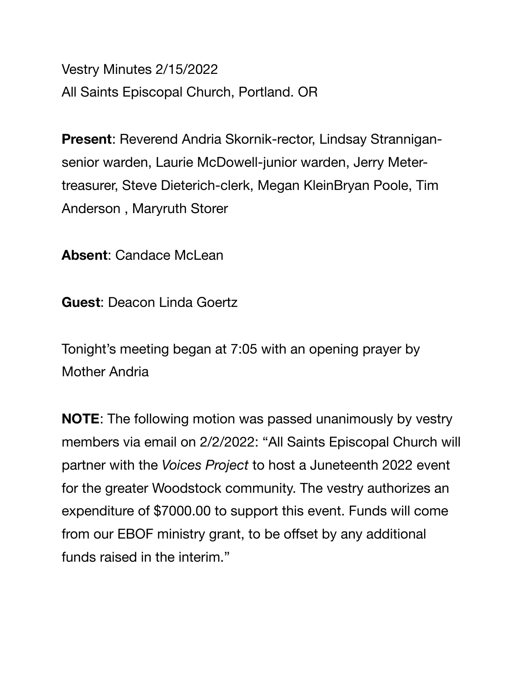Vestry Minutes 2/15/2022 All Saints Episcopal Church, Portland. OR

**Present**: Reverend Andria Skornik-rector, Lindsay Strannigansenior warden, Laurie McDowell-junior warden, Jerry Metertreasurer, Steve Dieterich-clerk, Megan KleinBryan Poole, Tim Anderson , Maryruth Storer

**Absent**: Candace McLean

**Guest**: Deacon Linda Goertz

Tonight's meeting began at 7:05 with an opening prayer by Mother Andria

**NOTE**: The following motion was passed unanimously by vestry members via email on 2/2/2022: "All Saints Episcopal Church will partner with the *Voices Project* to host a Juneteenth 2022 event for the greater Woodstock community. The vestry authorizes an expenditure of \$7000.00 to support this event. Funds will come from our EBOF ministry grant, to be offset by any additional funds raised in the interim."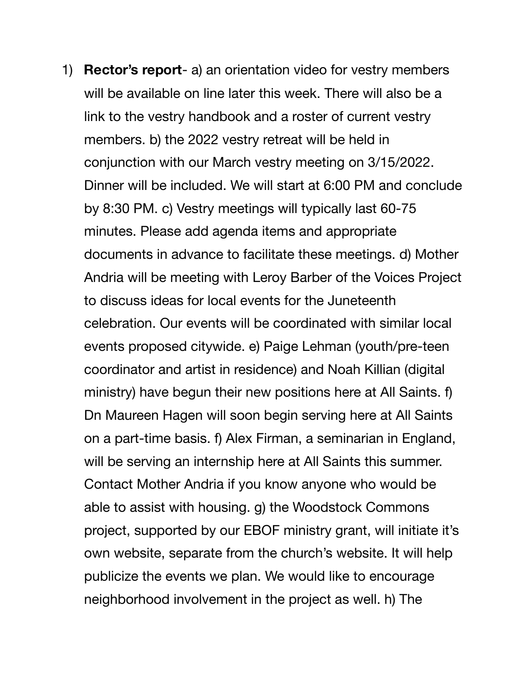1) **Rector's report**- a) an orientation video for vestry members will be available on line later this week. There will also be a link to the vestry handbook and a roster of current vestry members. b) the 2022 vestry retreat will be held in conjunction with our March vestry meeting on 3/15/2022. Dinner will be included. We will start at 6:00 PM and conclude by 8:30 PM. c) Vestry meetings will typically last 60-75 minutes. Please add agenda items and appropriate documents in advance to facilitate these meetings. d) Mother Andria will be meeting with Leroy Barber of the Voices Project to discuss ideas for local events for the Juneteenth celebration. Our events will be coordinated with similar local events proposed citywide. e) Paige Lehman (youth/pre-teen coordinator and artist in residence) and Noah Killian (digital ministry) have begun their new positions here at All Saints. f) Dn Maureen Hagen will soon begin serving here at All Saints on a part-time basis. f) Alex Firman, a seminarian in England, will be serving an internship here at All Saints this summer. Contact Mother Andria if you know anyone who would be able to assist with housing. g) the Woodstock Commons project, supported by our EBOF ministry grant, will initiate it's own website, separate from the church's website. It will help publicize the events we plan. We would like to encourage neighborhood involvement in the project as well. h) The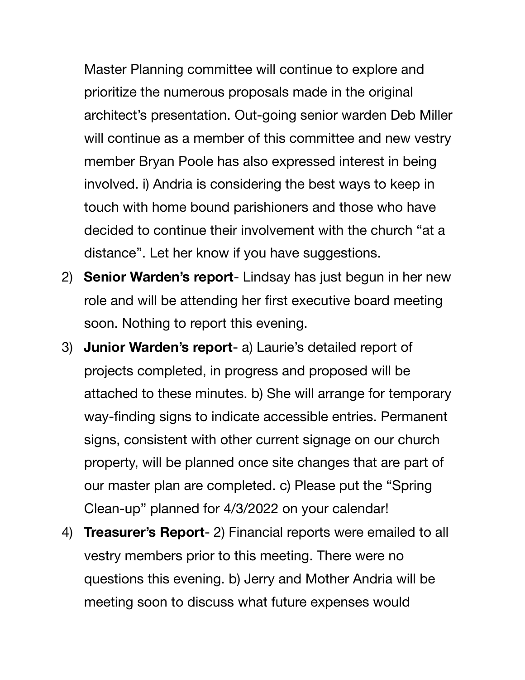Master Planning committee will continue to explore and prioritize the numerous proposals made in the original architect's presentation. Out-going senior warden Deb Miller will continue as a member of this committee and new vestry member Bryan Poole has also expressed interest in being involved. i) Andria is considering the best ways to keep in touch with home bound parishioners and those who have decided to continue their involvement with the church "at a distance". Let her know if you have suggestions.

- 2) **Senior Warden's report** Lindsay has just begun in her new role and will be attending her first executive board meeting soon. Nothing to report this evening.
- 3) **Junior Warden's report** a) Laurie's detailed report of projects completed, in progress and proposed will be attached to these minutes. b) She will arrange for temporary way-finding signs to indicate accessible entries. Permanent signs, consistent with other current signage on our church property, will be planned once site changes that are part of our master plan are completed. c) Please put the "Spring Clean-up" planned for 4/3/2022 on your calendar!
- 4) **Treasurer's Report** 2) Financial reports were emailed to all vestry members prior to this meeting. There were no questions this evening. b) Jerry and Mother Andria will be meeting soon to discuss what future expenses would